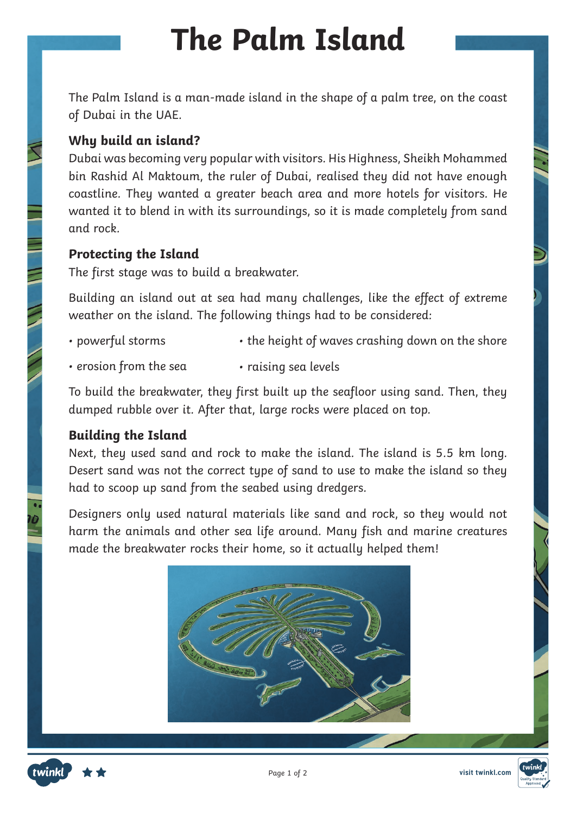# **The Palm Island**

The Palm Island is a man-made island in the shape of a palm tree, on the coast of Dubai in the UAE.

## **Why build an island?**

Dubai was becoming very popular with visitors. His Highness, Sheikh Mohammed bin Rashid Al Maktoum, the ruler of Dubai, realised they did not have enough coastline. They wanted a greater beach area and more hotels for visitors. He wanted it to blend in with its surroundings, so it is made completely from sand and rock.

#### **Protecting the Island**

The first stage was to build a breakwater.

Building an island out at sea had many challenges, like the effect of extreme weather on the island. The following things had to be considered:

- powerful storms • the height of waves crashing down on the shore
- erosion from the sea • raising sea levels

To build the breakwater, they first built up the seafloor using sand. Then, they dumped rubble over it. After that, large rocks were placed on top.

## **Building the Island**

Next, they used sand and rock to make the island. The island is 5.5 km long. Desert sand was not the correct type of sand to use to make the island so they had to scoop up sand from the seabed using dredgers.

Designers only used natural materials like sand and rock, so they would not harm the animals and other sea life around. Many fish and marine creatures made the breakwater rocks their home, so it actually helped them!



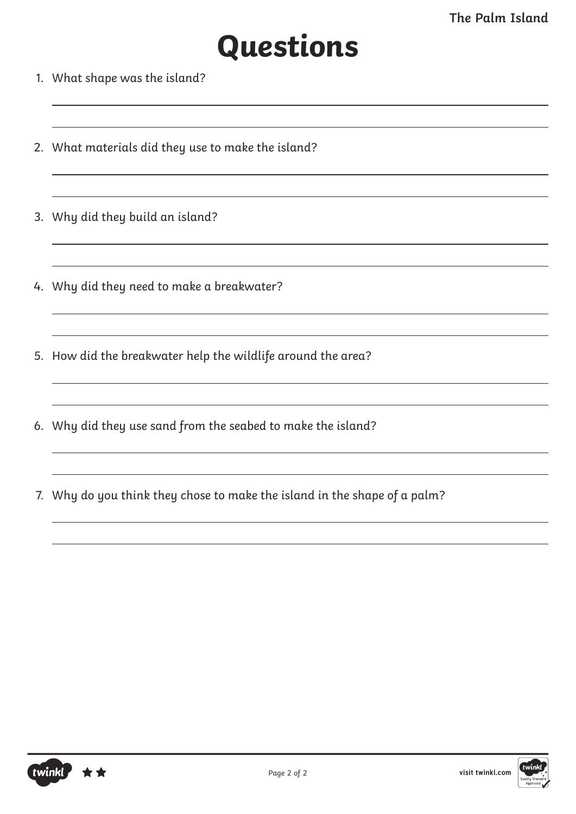# **Questions**

- 1. What shape was the island?
- 2. What materials did they use to make the island?
- 3. Why did they build an island?
- 4. Why did they need to make a breakwater?
- 5. How did the breakwater help the wildlife around the area?
- 6. Why did they use sand from the seabed to make the island?
- 7. Why do you think they chose to make the island in the shape of a palm?